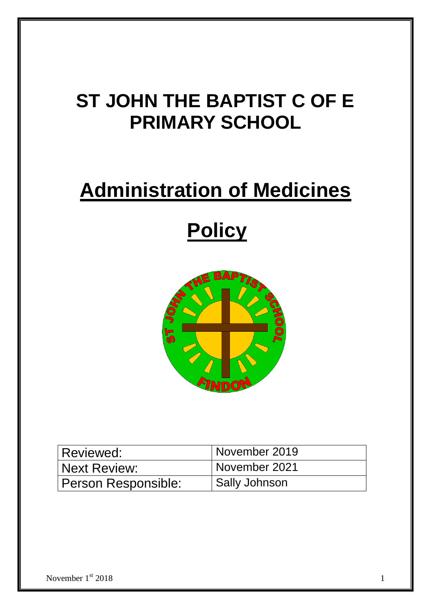## **ST JOHN THE BAPTIST C OF E PRIMARY SCHOOL**

## **Administration of Medicines**

# **Policy**



| Reviewed:           | November 2019        |
|---------------------|----------------------|
| Next Review:        | November 2021        |
| Person Responsible: | <b>Sally Johnson</b> |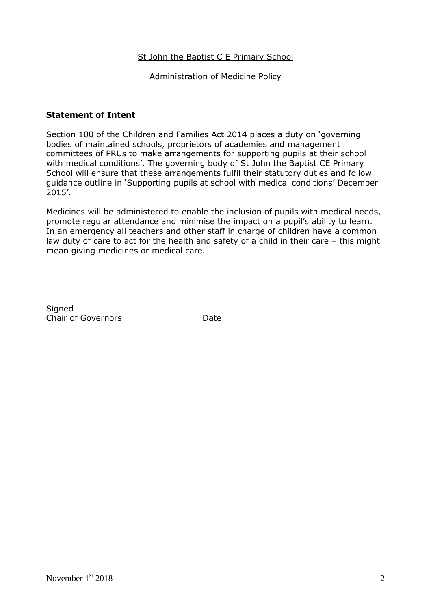### St John the Baptist C E Primary School

#### Administration of Medicine Policy

#### **Statement of Intent**

Section 100 of the Children and Families Act 2014 places a duty on 'governing bodies of maintained schools, proprietors of academies and management committees of PRUs to make arrangements for supporting pupils at their school with medical conditions'. The governing body of St John the Baptist CE Primary School will ensure that these arrangements fulfil their statutory duties and follow guidance outline in 'Supporting pupils at school with medical conditions' December 2015'.

Medicines will be administered to enable the inclusion of pupils with medical needs, promote regular attendance and minimise the impact on a pupil's ability to learn. In an emergency all teachers and other staff in charge of children have a common law duty of care to act for the health and safety of a child in their care – this might mean giving medicines or medical care.

**Signed** Chair of Governors **Date**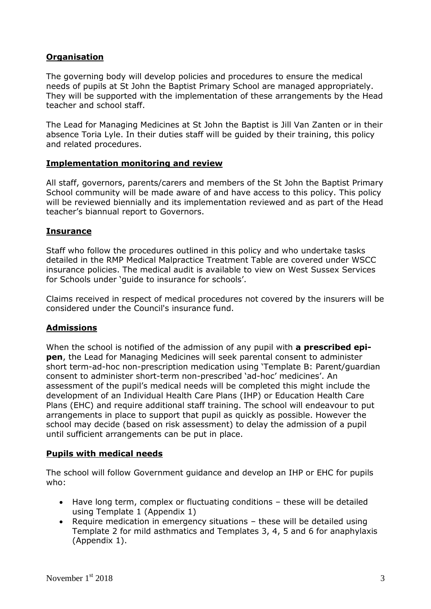## **Organisation**

The governing body will develop policies and procedures to ensure the medical needs of pupils at St John the Baptist Primary School are managed appropriately. They will be supported with the implementation of these arrangements by the Head teacher and school staff.

The Lead for Managing Medicines at St John the Baptist is Jill Van Zanten or in their absence Toria Lyle. In their duties staff will be guided by their training, this policy and related procedures.

### **Implementation monitoring and review**

All staff, governors, parents/carers and members of the St John the Baptist Primary School community will be made aware of and have access to this policy. This policy will be reviewed biennially and its implementation reviewed and as part of the Head teacher's biannual report to Governors.

## **Insurance**

Staff who follow the procedures outlined in this policy and who undertake tasks detailed in the RMP Medical Malpractice Treatment Table are covered under WSCC insurance policies. The medical audit is available to view on West Sussex Services for Schools under 'guide to insurance for schools'.

Claims received in respect of medical procedures not covered by the insurers will be considered under the Council's insurance fund.

## **Admissions**

When the school is notified of the admission of any pupil with **a prescribed epipen**, the Lead for Managing Medicines will seek parental consent to administer short term-ad-hoc non-prescription medication using 'Template B: Parent/guardian consent to administer short-term non-prescribed 'ad-hoc' medicines'. An assessment of the pupil's medical needs will be completed this might include the development of an Individual Health Care Plans (IHP) or Education Health Care Plans (EHC) and require additional staff training. The school will endeavour to put arrangements in place to support that pupil as quickly as possible. However the school may decide (based on risk assessment) to delay the admission of a pupil until sufficient arrangements can be put in place.

### **Pupils with medical needs**

The school will follow Government guidance and develop an IHP or EHC for pupils who:

- Have long term, complex or fluctuating conditions these will be detailed using Template 1 (Appendix 1)
- Require medication in emergency situations these will be detailed using Template 2 for mild asthmatics and Templates 3, 4, 5 and 6 for anaphylaxis (Appendix 1).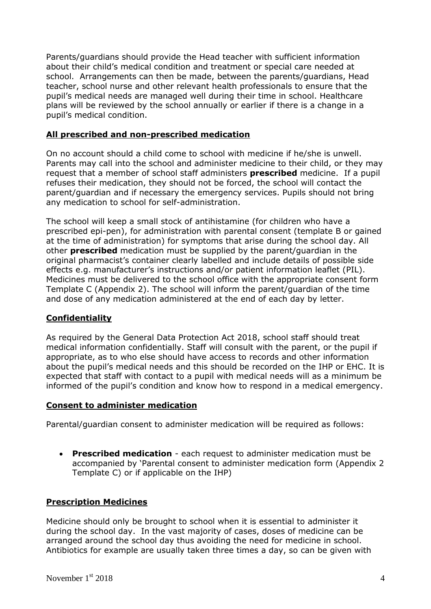Parents/guardians should provide the Head teacher with sufficient information about their child's medical condition and treatment or special care needed at school. Arrangements can then be made, between the parents/guardians, Head teacher, school nurse and other relevant health professionals to ensure that the pupil's medical needs are managed well during their time in school. Healthcare plans will be reviewed by the school annually or earlier if there is a change in a pupil's medical condition.

### **All prescribed and non-prescribed medication**

On no account should a child come to school with medicine if he/she is unwell. Parents may call into the school and administer medicine to their child, or they may request that a member of school staff administers **prescribed** medicine. If a pupil refuses their medication, they should not be forced, the school will contact the parent/guardian and if necessary the emergency services. Pupils should not bring any medication to school for self-administration.

The school will keep a small stock of antihistamine (for children who have a prescribed epi-pen), for administration with parental consent (template B or gained at the time of administration) for symptoms that arise during the school day. All other **prescribed** medication must be supplied by the parent/guardian in the original pharmacist's container clearly labelled and include details of possible side effects e.g. manufacturer's instructions and/or patient information leaflet (PIL). Medicines must be delivered to the school office with the appropriate consent form Template C (Appendix 2). The school will inform the parent/guardian of the time and dose of any medication administered at the end of each day by letter.

### **Confidentiality**

As required by the General Data Protection Act 2018, school staff should treat medical information confidentially. Staff will consult with the parent, or the pupil if appropriate, as to who else should have access to records and other information about the pupil's medical needs and this should be recorded on the IHP or EHC. It is expected that staff with contact to a pupil with medical needs will as a minimum be informed of the pupil's condition and know how to respond in a medical emergency.

#### **Consent to administer medication**

Parental/guardian consent to administer medication will be required as follows:

 **Prescribed medication** - each request to administer medication must be accompanied by 'Parental consent to administer medication form (Appendix 2 Template C) or if applicable on the IHP)

#### **Prescription Medicines**

Medicine should only be brought to school when it is essential to administer it during the school day. In the vast majority of cases, doses of medicine can be arranged around the school day thus avoiding the need for medicine in school. Antibiotics for example are usually taken three times a day, so can be given with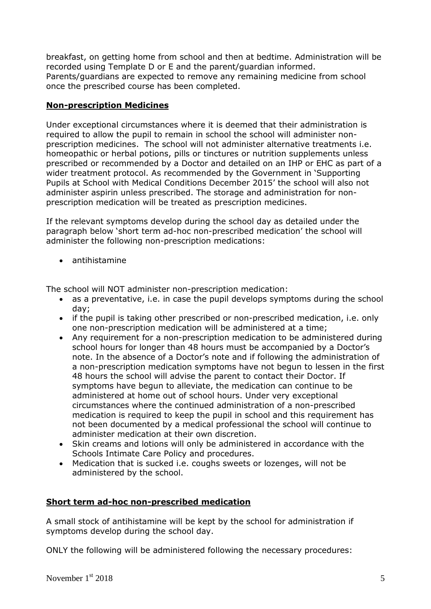breakfast, on getting home from school and then at bedtime. Administration will be recorded using Template D or E and the parent/guardian informed. Parents/guardians are expected to remove any remaining medicine from school once the prescribed course has been completed.

## **Non-prescription Medicines**

Under exceptional circumstances where it is deemed that their administration is required to allow the pupil to remain in school the school will administer nonprescription medicines. The school will not administer alternative treatments i.e. homeopathic or herbal potions, pills or tinctures or nutrition supplements unless prescribed or recommended by a Doctor and detailed on an IHP or EHC as part of a wider treatment protocol. As recommended by the Government in 'Supporting Pupils at School with Medical Conditions December 2015' the school will also not administer aspirin unless prescribed. The storage and administration for nonprescription medication will be treated as prescription medicines.

If the relevant symptoms develop during the school day as detailed under the paragraph below 'short term ad-hoc non-prescribed medication' the school will administer the following non-prescription medications:

antihistamine

The school will NOT administer non-prescription medication:

- as a preventative, i.e. in case the pupil develops symptoms during the school day;
- if the pupil is taking other prescribed or non-prescribed medication, i.e. only one non-prescription medication will be administered at a time;
- Any requirement for a non-prescription medication to be administered during school hours for longer than 48 hours must be accompanied by a Doctor's note. In the absence of a Doctor's note and if following the administration of a non-prescription medication symptoms have not begun to lessen in the first 48 hours the school will advise the parent to contact their Doctor. If symptoms have begun to alleviate, the medication can continue to be administered at home out of school hours. Under very exceptional circumstances where the continued administration of a non-prescribed medication is required to keep the pupil in school and this requirement has not been documented by a medical professional the school will continue to administer medication at their own discretion.
- Skin creams and lotions will only be administered in accordance with the Schools Intimate Care Policy and procedures.
- Medication that is sucked i.e. coughs sweets or lozenges, will not be administered by the school.

## **Short term ad-hoc non-prescribed medication**

A small stock of antihistamine will be kept by the school for administration if symptoms develop during the school day.

ONLY the following will be administered following the necessary procedures: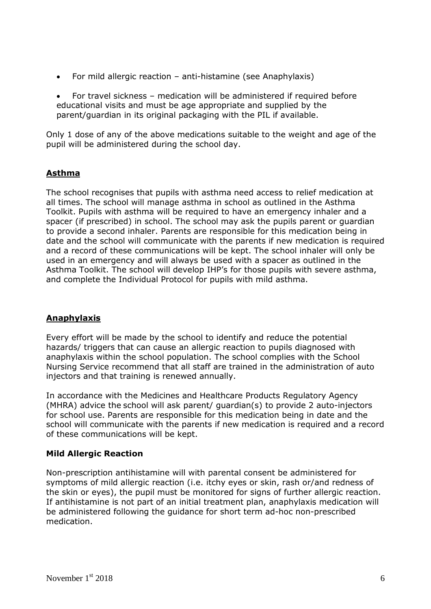- For mild allergic reaction anti-histamine (see Anaphylaxis)
- For travel sickness medication will be administered if required before educational visits and must be age appropriate and supplied by the parent/guardian in its original packaging with the PIL if available.

Only 1 dose of any of the above medications suitable to the weight and age of the pupil will be administered during the school day.

## **Asthma**

The school recognises that pupils with asthma need access to relief medication at all times. The school will manage asthma in school as outlined in the Asthma Toolkit. Pupils with asthma will be required to have an emergency inhaler and a spacer (if prescribed) in school. The school may ask the pupils parent or guardian to provide a second inhaler. Parents are responsible for this medication being in date and the school will communicate with the parents if new medication is required and a record of these communications will be kept. The school inhaler will only be used in an emergency and will always be used with a spacer as outlined in the Asthma Toolkit. The school will develop IHP's for those pupils with severe asthma, and complete the Individual Protocol for pupils with mild asthma.

## **Anaphylaxis**

Every effort will be made by the school to identify and reduce the potential hazards/ triggers that can cause an allergic reaction to pupils diagnosed with anaphylaxis within the school population. The school complies with the School Nursing Service recommend that all staff are trained in the administration of auto injectors and that training is renewed annually.

In accordance with the Medicines and Healthcare Products Regulatory Agency (MHRA) advice the school will ask parent/ guardian(s) to provide 2 auto-injectors for school use. Parents are responsible for this medication being in date and the school will communicate with the parents if new medication is required and a record of these communications will be kept.

## **Mild Allergic Reaction**

Non-prescription antihistamine will with parental consent be administered for symptoms of mild allergic reaction (i.e. itchy eyes or skin, rash or/and redness of the skin or eyes), the pupil must be monitored for signs of further allergic reaction. If antihistamine is not part of an initial treatment plan, anaphylaxis medication will be administered following the guidance for short term ad-hoc non-prescribed medication.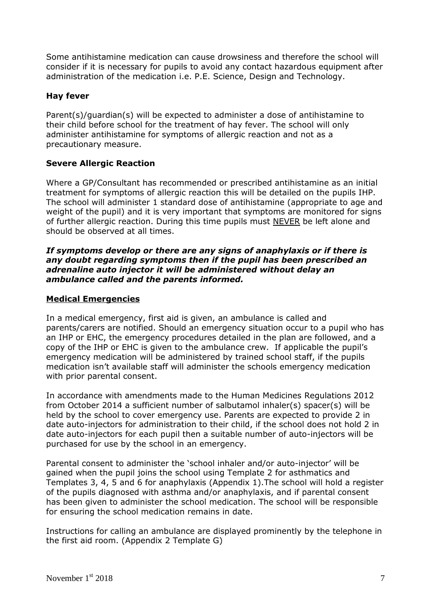Some antihistamine medication can cause drowsiness and therefore the school will consider if it is necessary for pupils to avoid any contact hazardous equipment after administration of the medication i.e. P.E. Science, Design and Technology.

## **Hay fever**

Parent(s)/guardian(s) will be expected to administer a dose of antihistamine to their child before school for the treatment of hay fever. The school will only administer antihistamine for symptoms of allergic reaction and not as a precautionary measure.

## **Severe Allergic Reaction**

Where a GP/Consultant has recommended or prescribed antihistamine as an initial treatment for symptoms of allergic reaction this will be detailed on the pupils IHP. The school will administer 1 standard dose of antihistamine (appropriate to age and weight of the pupil) and it is very important that symptoms are monitored for signs of further allergic reaction. During this time pupils must NEVER be left alone and should be observed at all times.

#### *If symptoms develop or there are any signs of anaphylaxis or if there is any doubt regarding symptoms then if the pupil has been prescribed an adrenaline auto injector it will be administered without delay an ambulance called and the parents informed.*

### **Medical Emergencies**

In a medical emergency, first aid is given, an ambulance is called and parents/carers are notified. Should an emergency situation occur to a pupil who has an IHP or EHC, the emergency procedures detailed in the plan are followed, and a copy of the IHP or EHC is given to the ambulance crew. If applicable the pupil's emergency medication will be administered by trained school staff, if the pupils medication isn't available staff will administer the schools emergency medication with prior parental consent.

In accordance with amendments made to the Human Medicines Regulations 2012 from October 2014 a sufficient number of salbutamol inhaler(s) spacer(s) will be held by the school to cover emergency use. Parents are expected to provide 2 in date auto-injectors for administration to their child, if the school does not hold 2 in date auto-injectors for each pupil then a suitable number of auto-injectors will be purchased for use by the school in an emergency.

Parental consent to administer the 'school inhaler and/or auto-injector' will be gained when the pupil joins the school using Template 2 for asthmatics and Templates 3, 4, 5 and 6 for anaphylaxis (Appendix 1).The school will hold a register of the pupils diagnosed with asthma and/or anaphylaxis, and if parental consent has been given to administer the school medication. The school will be responsible for ensuring the school medication remains in date.

Instructions for calling an ambulance are displayed prominently by the telephone in the first aid room. (Appendix 2 Template G)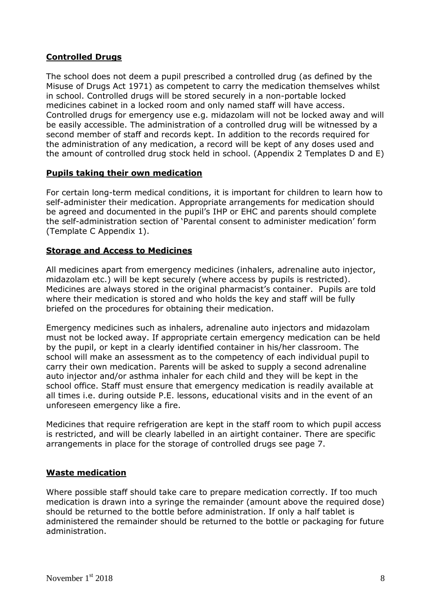## **Controlled Drugs**

The school does not deem a pupil prescribed a controlled drug (as defined by the Misuse of Drugs Act 1971) as competent to carry the medication themselves whilst in school. Controlled drugs will be stored securely in a non-portable locked medicines cabinet in a locked room and only named staff will have access. Controlled drugs for emergency use e.g. midazolam will not be locked away and will be easily accessible. The administration of a controlled drug will be witnessed by a second member of staff and records kept. In addition to the records required for the administration of any medication, a record will be kept of any doses used and the amount of controlled drug stock held in school. (Appendix 2 Templates D and E)

### **Pupils taking their own medication**

For certain long-term medical conditions, it is important for children to learn how to self-administer their medication. Appropriate arrangements for medication should be agreed and documented in the pupil's IHP or EHC and parents should complete the self-administration section of 'Parental consent to administer medication' form (Template C Appendix 1).

## **Storage and Access to Medicines**

All medicines apart from emergency medicines (inhalers, adrenaline auto injector, midazolam etc.) will be kept securely (where access by pupils is restricted). Medicines are always stored in the original pharmacist's container. Pupils are told where their medication is stored and who holds the key and staff will be fully briefed on the procedures for obtaining their medication.

Emergency medicines such as inhalers, adrenaline auto injectors and midazolam must not be locked away. If appropriate certain emergency medication can be held by the pupil, or kept in a clearly identified container in his/her classroom. The school will make an assessment as to the competency of each individual pupil to carry their own medication. Parents will be asked to supply a second adrenaline auto injector and/or asthma inhaler for each child and they will be kept in the school office. Staff must ensure that emergency medication is readily available at all times i.e. during outside P.E. lessons, educational visits and in the event of an unforeseen emergency like a fire.

Medicines that require refrigeration are kept in the staff room to which pupil access is restricted, and will be clearly labelled in an airtight container. There are specific arrangements in place for the storage of controlled drugs see page 7.

## **Waste medication**

Where possible staff should take care to prepare medication correctly. If too much medication is drawn into a syringe the remainder (amount above the required dose) should be returned to the bottle before administration. If only a half tablet is administered the remainder should be returned to the bottle or packaging for future administration.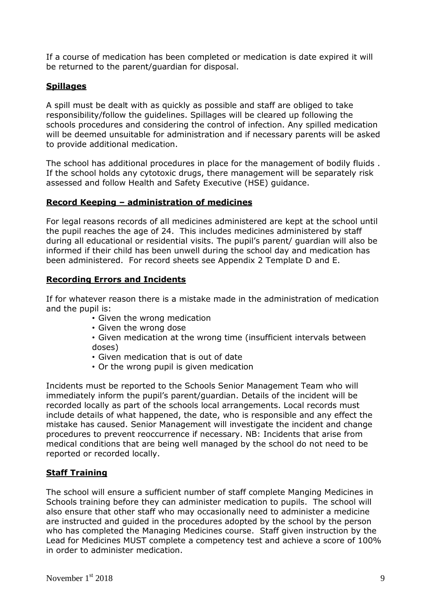If a course of medication has been completed or medication is date expired it will be returned to the parent/guardian for disposal.

## **Spillages**

A spill must be dealt with as quickly as possible and staff are obliged to take responsibility/follow the guidelines. Spillages will be cleared up following the schools procedures and considering the control of infection. Any spilled medication will be deemed unsuitable for administration and if necessary parents will be asked to provide additional medication.

The school has additional procedures in place for the management of bodily fluids . If the school holds any cytotoxic drugs, there management will be separately risk assessed and follow Health and Safety Executive (HSE) guidance.

### **Record Keeping – administration of medicines**

For legal reasons records of all medicines administered are kept at the school until the pupil reaches the age of 24. This includes medicines administered by staff during all educational or residential visits. The pupil's parent/ guardian will also be informed if their child has been unwell during the school day and medication has been administered. For record sheets see Appendix 2 Template D and E.

#### **Recording Errors and Incidents**

If for whatever reason there is a mistake made in the administration of medication and the pupil is:

- Given the wrong medication
- Given the wrong dose
- Given medication at the wrong time (insufficient intervals between doses)
- Given medication that is out of date
- Or the wrong pupil is given medication

Incidents must be reported to the Schools Senior Management Team who will immediately inform the pupil's parent/guardian. Details of the incident will be recorded locally as part of the schools local arrangements. Local records must include details of what happened, the date, who is responsible and any effect the mistake has caused. Senior Management will investigate the incident and change procedures to prevent reoccurrence if necessary. NB: Incidents that arise from medical conditions that are being well managed by the school do not need to be reported or recorded locally.

### **Staff Training**

The school will ensure a sufficient number of staff complete Manging Medicines in Schools training before they can administer medication to pupils. The school will also ensure that other staff who may occasionally need to administer a medicine are instructed and guided in the procedures adopted by the school by the person who has completed the Managing Medicines course. Staff given instruction by the Lead for Medicines MUST complete a competency test and achieve a score of 100% in order to administer medication.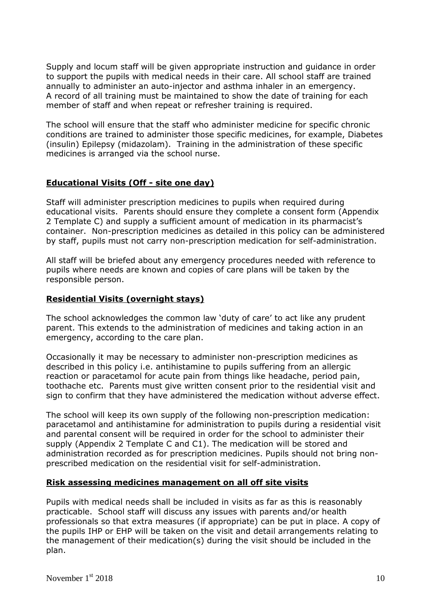Supply and locum staff will be given appropriate instruction and guidance in order to support the pupils with medical needs in their care. All school staff are trained annually to administer an auto-injector and asthma inhaler in an emergency. A record of all training must be maintained to show the date of training for each member of staff and when repeat or refresher training is required.

The school will ensure that the staff who administer medicine for specific chronic conditions are trained to administer those specific medicines, for example, Diabetes (insulin) Epilepsy (midazolam). Training in the administration of these specific medicines is arranged via the school nurse.

## **Educational Visits (Off - site one day)**

Staff will administer prescription medicines to pupils when required during educational visits. Parents should ensure they complete a consent form (Appendix 2 Template C) and supply a sufficient amount of medication in its pharmacist's container. Non-prescription medicines as detailed in this policy can be administered by staff, pupils must not carry non-prescription medication for self-administration.

All staff will be briefed about any emergency procedures needed with reference to pupils where needs are known and copies of care plans will be taken by the responsible person.

#### **Residential Visits (overnight stays)**

The school acknowledges the common law 'duty of care' to act like any prudent parent. This extends to the administration of medicines and taking action in an emergency, according to the care plan.

Occasionally it may be necessary to administer non-prescription medicines as described in this policy i.e. antihistamine to pupils suffering from an allergic reaction or paracetamol for acute pain from things like headache, period pain, toothache etc. Parents must give written consent prior to the residential visit and sign to confirm that they have administered the medication without adverse effect.

The school will keep its own supply of the following non-prescription medication: paracetamol and antihistamine for administration to pupils during a residential visit and parental consent will be required in order for the school to administer their supply (Appendix 2 Template C and C1). The medication will be stored and administration recorded as for prescription medicines. Pupils should not bring nonprescribed medication on the residential visit for self-administration.

#### **Risk assessing medicines management on all off site visits**

Pupils with medical needs shall be included in visits as far as this is reasonably practicable. School staff will discuss any issues with parents and/or health professionals so that extra measures (if appropriate) can be put in place. A copy of the pupils IHP or EHP will be taken on the visit and detail arrangements relating to the management of their medication(s) during the visit should be included in the plan.